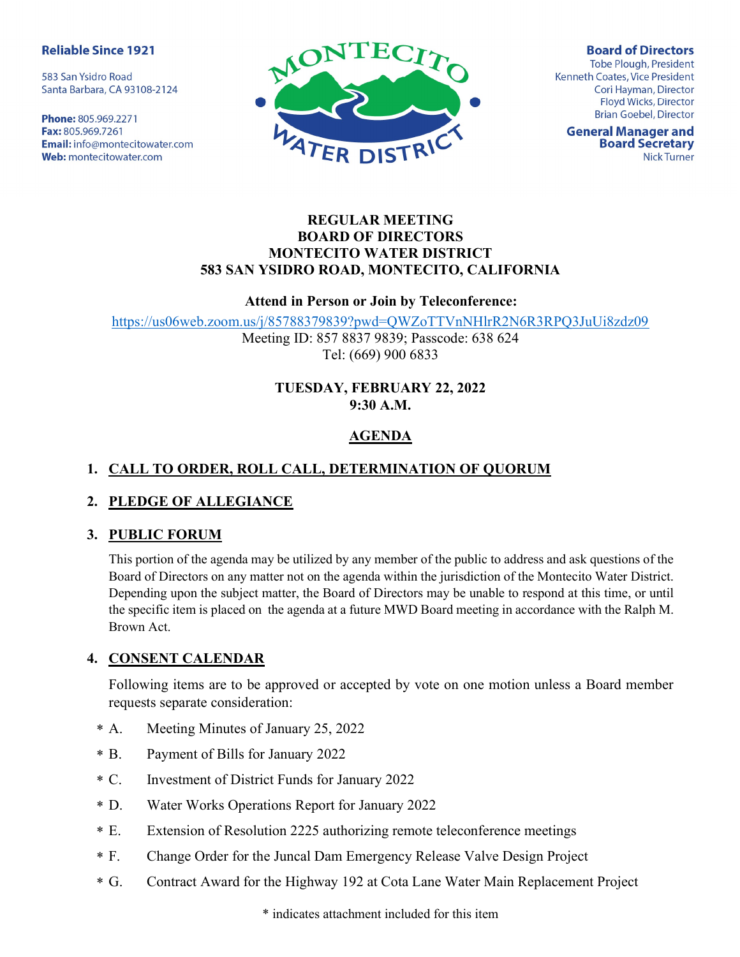#### **Reliable Since 1921**

583 San Ysidro Road Santa Barbara, CA 93108-2124

Phone: 805.969.2271 Fax: 805.969.7261 **Email:** info@montecitowater.com Web: montecitowater.com



**Board of Directors Tobe Plough, President** Kenneth Coates, Vice President Cori Hayman, Director Floyd Wicks, Director **Brian Goebel, Director** 

**General Manager and Board Secretary Nick Turner** 

#### REGULAR MEETING BOARD OF DIRECTORS MONTECITO WATER DISTRICT 583 SAN YSIDRO ROAD, MONTECITO, CALIFORNIA

#### Attend in Person or Join by Teleconference:

https://us06web.zoom.us/j/85788379839?pwd=QWZoTTVnNHlrR2N6R3RPQ3JuUi8zdz09

Meeting ID: 857 8837 9839; Passcode: 638 624 Tel: (669) 900 6833

## TUESDAY, FEBRUARY 22, 2022 9:30 A.M.

# AGENDA

# 1. CALL TO ORDER, ROLL CALL, DETERMINATION OF QUORUM

## 2. PLEDGE OF ALLEGIANCE

## 3. PUBLIC FORUM

This portion of the agenda may be utilized by any member of the public to address and ask questions of the Board of Directors on any matter not on the agenda within the jurisdiction of the Montecito Water District. Depending upon the subject matter, the Board of Directors may be unable to respond at this time, or until the specific item is placed on the agenda at a future MWD Board meeting in accordance with the Ralph M. Brown Act.

## 4. CONSENT CALENDAR

Following items are to be approved or accepted by vote on one motion unless a Board member requests separate consideration:

- Meeting Minutes of January 25, 2022  $* A$ .
- Payment of Bills for January 2022  $*$  B.
- C. Investment of District Funds for January 2022  $* C$
- Water Works Operations Report for January 2022  $*$  D.
- Extension of Resolution 2225 authorizing remote teleconference meetings  $*$  E.
- Change Order for the Juncal Dam Emergency Release Valve Design Project  $*$  F.
- Contract Award for the Highway 192 at Cota Lane Water Main Replacement Project  $*$  G.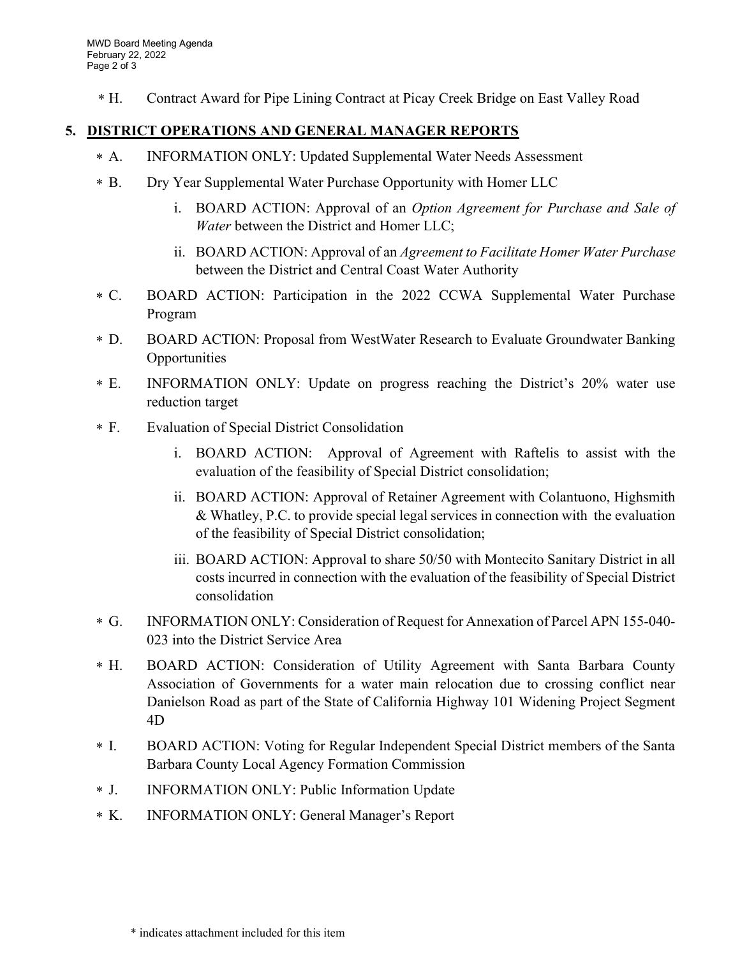Contract Award for Pipe Lining Contract at Picay Creek Bridge on East Valley Road  $*$  H.

#### 5. DISTRICT OPERATIONS AND GENERAL MANAGER REPORTS

- A. INFORMATION ONLY: Updated Supplemental Water Needs Assessment  $* A.$
- B. Dry Year Supplemental Water Purchase Opportunity with Homer LLC  $*$  B.
	- i. BOARD ACTION: Approval of an Option Agreement for Purchase and Sale of Water between the District and Homer LLC;
	- ii. BOARD ACTION: Approval of an Agreement to Facilitate Homer Water Purchase between the District and Central Coast Water Authority
- BOARD ACTION: Participation in the 2022 CCWA Supplemental Water Purchase Program  $*$  C.
- D. BOARD ACTION: Proposal from WestWater Research to Evaluate Groundwater Banking Opportunities  $*$  D.
- INFORMATION ONLY: Update on progress reaching the District's 20% water use reduction target  $E.$
- Evaluation of Special District Consolidation  $*$  F.
	- i. BOARD ACTION: Approval of Agreement with Raftelis to assist with the evaluation of the feasibility of Special District consolidation;
	- ii. BOARD ACTION: Approval of Retainer Agreement with Colantuono, Highsmith & Whatley, P.C. to provide special legal services in connection with the evaluation of the feasibility of Special District consolidation;
	- iii. BOARD ACTION: Approval to share 50/50 with Montecito Sanitary District in all costs incurred in connection with the evaluation of the feasibility of Special District consolidation
- G. INFORMATION ONLY: Consideration of Request for Annexation of Parcel APN 155-040- 023 into the District Service Area  $*$  G.
- BOARD ACTION: Consideration of Utility Agreement with Santa Barbara County Association of Governments for a water main relocation due to crossing conflict near Danielson Road as part of the State of California Highway 101 Widening Project Segment 4D \* H.
- BOARD ACTION: Voting for Regular Independent Special District members of the Santa Barbara County Local Agency Formation Commission  $*$  I.
- J. INFORMATION ONLY: Public Information Update \* J.
- INFORMATION ONLY: General Manager's Report  $*$  K.